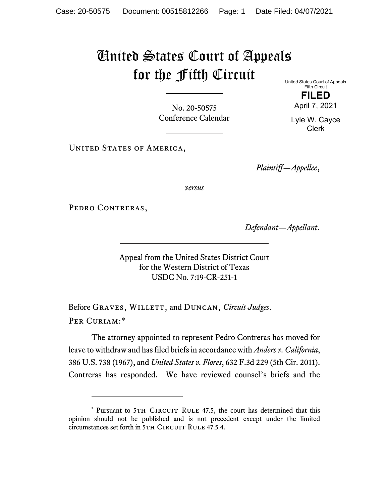## United States Court of Appeals for the Fifth Circuit

No. 20-50575 Conference Calendar United States Court of Appeals Fifth Circuit

April 7, 2021 Lyle W. Cayce

Clerk

**FILED**

UNITED STATES OF AMERICA,

*Plaintiff—Appellee*,

*versus*

PEDRO CONTRERAS,

*Defendant—Appellant*.

Appeal from the United States District Court for the Western District of Texas USDC No. 7:19-CR-251-1

Before GRAVES, WILLETT, and DUNCAN, *Circuit Judges*. Per Curiam:[\\*](#page-0-0)

The attorney appointed to represent Pedro Contreras has moved for leave to withdraw and has filed briefs in accordance with *Anders v. California*, 386 U.S. 738 (1967), and *United States v. Flores*, 632 F.3d 229 (5th Cir. 2011). Contreras has responded. We have reviewed counsel's briefs and the

<span id="page-0-0"></span><sup>\*</sup> Pursuant to 5TH CIRCUIT RULE 47.5, the court has determined that this opinion should not be published and is not precedent except under the limited circumstances set forth in 5TH CIRCUIT RULE 47.5.4.